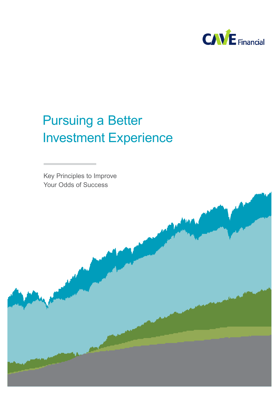

# Pursuing a Better Investment Experience

Key Principles to Improve Your Odds of Success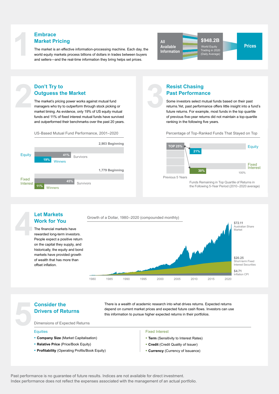**1 Embrace** The market is an effective information-processing machine. Each day, the world equity markets process billions of dollars in trades between buyers world equity markets process billions of dollars in trades between buyers **Embrace**<br> **Market Pricing**<br>
The market is an effective information-processing machine. Each day, the world equity markets process billions of dollars in trades between buyer<br>
and sellers—and the real-time information they



### **Outguess the Market Marketto**

**2**

**22 Don't Try to Outguess the The market's pricing managers who try to market timing. As expected to the matter of**  $\frac{1}{2}$  **as expected to the set of**  $\frac{1}{2}$  **as expected to the set of**  $\frac{1}{2}$  **as expected to the set of** The market's pricing power works against mutual fund market's pricing power works against mutual fund managers who try to outperform through stock picking or The market's pricing power works against mutual fund<br>managers who try to outperform through stock picking or<br>market timing. As evidence, only 19% of US equity mutual funds and 11% of fixed interest mutual funds have survived and outperformed their benchmarks over the past 20 years.

# and outperformed their benchmarks over the past 20 years.<br>US-Based Mutual Fund Performance, 2001–2020



# **Past Performance**

**19 Past Performan**<br> **3 Some investors select m**<br> **3 net investors select m**<br> **3 net investors**<br> **3 net investors**<br> **5 net investors**<br> **5 net investors**<br> **5 net investors**<br> **5 example** Some investors select mutual funds based on their past returns.Yet, past performance offers little insight into a fund's future returns. For example, most funds in the top quartile of previous five-year returns did not maintain a top-quartile of previous five-year returns did not maintain a top-quartile ranking in the following five years. **3 Past Performance**<br> **3 Chasing**<br> **3 Chass Select mutual funds based on their past<br>
returns. Yet, past performance offers little insight into a furtil<br>
tuture returns. For example, most funds in the top quartile<br>
of** Some investors select mutual funds based on their past<br>returns.Yet, past performance offers little insight into a fund'

Percentage of Top-Ranked Funds That Stayed on Top



Funds Remaining in Top Quartile of Returns in 5 Years<br>Funds Remaining in Top Quartile of Returns in<br>the Following 5-Year Period (2010–2020 average)



### **5 Consider the Drivers of Ret Dimensions of Experience Drivers of Returns 5 Consider the Drivers of Ref Dimensions of Experiments Consider the 5the School School School School School School School School School School School School School School School School School School School School School School School School School School School School School School School**

**Work for You Work for** 

**Let Markets**

offset inflation. offset inflation.

There is a wealth of academic research into what drives returns. Expected returns depend on current market prices and expected future cash flows. Investors can use this information to pursue higher expected returns in their portfolios.

Dimensions of Expected Returns<br>————————————————————<br>Equities

#### **Equities** (Market Capitalization)

- **Company Size** (Market Capitalisation) <u>Fixed Interest</u><br>
■ Fixed Interest<br>
■ Fixed Interest<br>
■ Fixed Interest Rates)<br>
■ Fixed Interest Rates)<br>
■ Fixed Interest Rates<br>
■ Fixed Interest Rates<br>
■ Fixed Interest Rates<br>
■ Fixed Interest Rates<br>
■ Fixed Interest Rate
- Relative Price (Price/Book Equity)
- **Profitability** (Operating Profits/Book Equity)

#### **Fixed Interest Terms** (Sensitivity to Terms

- Term (Sensitivity to Interest Rates)
- Credit (Credit Quality of Issuer)
- **Currency** (Currency of Issuance)

Past performance is no guarantee of future results. Indices are not available for direct investment. Index performance does not reflect the expenses associated with the management of an actual portfolio.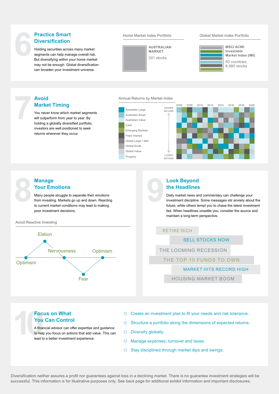# **Diversification**

**Fractice Smart**<br> **6 Exercision**<br> **6 Exercision**<br> **6 Exercision**<br> **6 Exercision**<br> **6 Exercision**<br> **6 Exercision**<br> **6 Exercision**<br> **Exercise**<br> **Exercise**<br> **Exercise of Practice Smarter Index Portfolio<br>
<b>Exerci** Holding securities across many market segments can help manage overall risk. But diversifying within your home market may not be enough. Global diversification can broaden your investment universe.





**MSCI ACWI Investable Market Index (IMI)** 

50 countries, 8,980 stocks

## **Market Timing**

**12 Avoid**<br> **Marke**<br> **7** You never<br>
will outper<br>
holding a You never know which market segments will outperform from year to year. By holding a globally diversified portfolio, investors are well positioned to seek returns wherever they occur.

#### Annual Returns by Market Index

Cash

Property



### **Your Emotions**

**8 Manage <br>
Your Em**<br>
Many people<br>
from investing<br>
to current ma Many people struggle to separate their emotions from investing. Markets go up and down. Reacting to current market conditions may lead to making poor investment decisions.

#### Avoid Reactive Investing



# **the Headlines**

**19 <b>Look Beyond**<br> **19 <b>CO**<br> **19 PERTURN**<br> **19 PERTURN**<br> **19 PERTURN**<br> **19 PERTURN**<br> **19 PERTURN**<br> **19 PERTURN**<br> **19 PERTURN**<br> **19 PERTURN**<br> **19 PERTURN**<br> **19 PERTURN**<br> **19 PERTURN**<br> **19 PERTURN**<br> **19 PERTURN**<br> **19 PERTURN** Daily market news and commentary can challenge your investment discipline. Some messages stir anxiety about the future, while others tempt you to chase the latest investment fad. When headlines unsettle you, consider the source and maintain a long-term perspective.

#### RETIRE RICH

SELL STOCKS NOW

THE LOOMING RECESSION

#### THE TOP 10 FUNDS TO OWN

#### MARKET HITS RECORD HIGH

HOUSING MARKET BOOM

# **You Can Control**

**10Focus on What**<br> **10Focus on What**<br> **10Focus on Control**<br> **10Focus on Control**<br> **10Focus on offer expertise and guidance**<br> **10Focus on actions that add value. This can**<br> **10Focus on actions that add value. This can**<br> **10** A financial advisor can offer expertise and guidance to help you focus on actions that add value. This can lead to a better investment experience.

- 
- O Structure a portfolio along the dimensions of expected returns.
- Diversify globally.
- Manage expenses, turnover and taxes.
- $\Omega$ Stay disciplined through market dips and swings.

Diversification neither assures a profit nor guarantees against loss in a declining market. There is no guarantee investment strategies will be successful. This information is for illustrative purposes only. See back page for additional exhibit information and important disclosures.